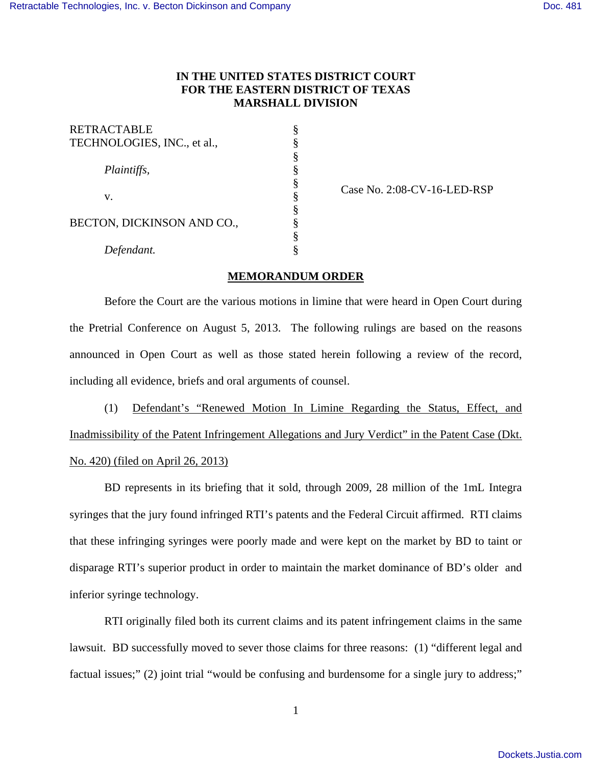## **IN THE UNITED STATES DISTRICT COURT FOR THE EASTERN DISTRICT OF TEXAS MARSHALL DIVISION**

| RETRACTABLE<br>TECHNOLOGIES, INC., et al., |  |
|--------------------------------------------|--|
| Plaintiffs,                                |  |
| $V_{-}$                                    |  |
| BECTON, DICKINSON AND CO.,                 |  |
| Defendant.                                 |  |

Case No. 2:08-CV-16-LED-RSP

## **MEMORANDUM ORDER**

Before the Court are the various motions in limine that were heard in Open Court during the Pretrial Conference on August 5, 2013. The following rulings are based on the reasons announced in Open Court as well as those stated herein following a review of the record, including all evidence, briefs and oral arguments of counsel.

(1) Defendant's "Renewed Motion In Limine Regarding the Status, Effect, and Inadmissibility of the Patent Infringement Allegations and Jury Verdict" in the Patent Case (Dkt. No. 420) (filed on April 26, 2013)

BD represents in its briefing that it sold, through 2009, 28 million of the 1mL Integra syringes that the jury found infringed RTI's patents and the Federal Circuit affirmed. RTI claims that these infringing syringes were poorly made and were kept on the market by BD to taint or disparage RTI's superior product in order to maintain the market dominance of BD's older and inferior syringe technology.

RTI originally filed both its current claims and its patent infringement claims in the same lawsuit. BD successfully moved to sever those claims for three reasons: (1) "different legal and factual issues;" (2) joint trial "would be confusing and burdensome for a single jury to address;"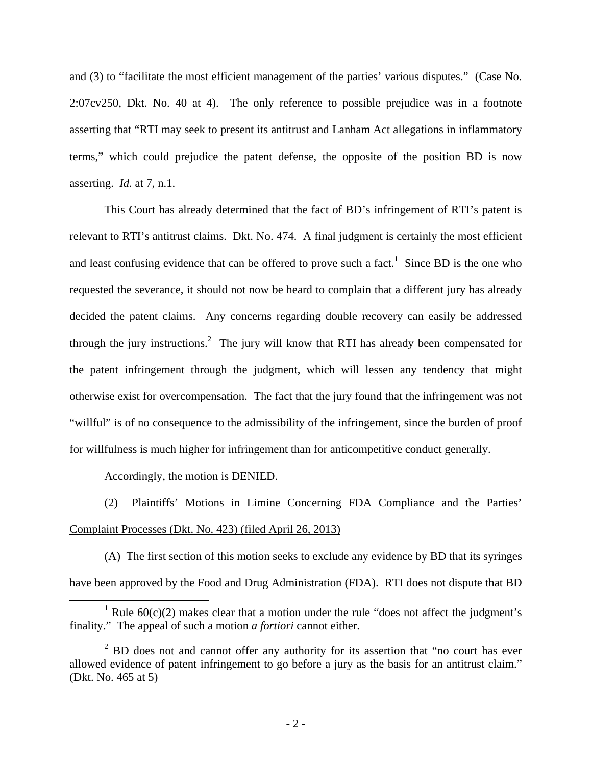and (3) to "facilitate the most efficient management of the parties' various disputes." (Case No. 2:07cv250, Dkt. No. 40 at 4). The only reference to possible prejudice was in a footnote asserting that "RTI may seek to present its antitrust and Lanham Act allegations in inflammatory terms," which could prejudice the patent defense, the opposite of the position BD is now asserting. *Id.* at 7, n.1.

This Court has already determined that the fact of BD's infringement of RTI's patent is relevant to RTI's antitrust claims. Dkt. No. 474. A final judgment is certainly the most efficient and least confusing evidence that can be offered to prove such a fact.<sup>1</sup> Since BD is the one who requested the severance, it should not now be heard to complain that a different jury has already decided the patent claims. Any concerns regarding double recovery can easily be addressed through the jury instructions.<sup>2</sup> The jury will know that RTI has already been compensated for the patent infringement through the judgment, which will lessen any tendency that might otherwise exist for overcompensation. The fact that the jury found that the infringement was not "willful" is of no consequence to the admissibility of the infringement, since the burden of proof for willfulness is much higher for infringement than for anticompetitive conduct generally.

Accordingly, the motion is DENIED.

(2) Plaintiffs' Motions in Limine Concerning FDA Compliance and the Parties' Complaint Processes (Dkt. No. 423) (filed April 26, 2013)

(A) The first section of this motion seeks to exclude any evidence by BD that its syringes have been approved by the Food and Drug Administration (FDA). RTI does not dispute that BD

<sup>&</sup>lt;u>1</u> <sup>1</sup> Rule  $60(c)(2)$  makes clear that a motion under the rule "does not affect the judgment's finality." The appeal of such a motion *a fortiori* cannot either.

 $2$  BD does not and cannot offer any authority for its assertion that "no court has ever allowed evidence of patent infringement to go before a jury as the basis for an antitrust claim." (Dkt. No. 465 at 5)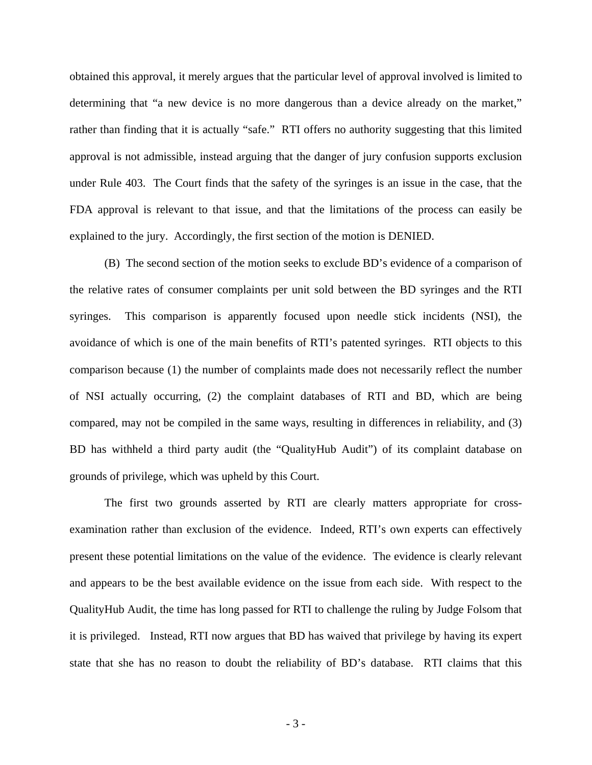obtained this approval, it merely argues that the particular level of approval involved is limited to determining that "a new device is no more dangerous than a device already on the market," rather than finding that it is actually "safe." RTI offers no authority suggesting that this limited approval is not admissible, instead arguing that the danger of jury confusion supports exclusion under Rule 403. The Court finds that the safety of the syringes is an issue in the case, that the FDA approval is relevant to that issue, and that the limitations of the process can easily be explained to the jury. Accordingly, the first section of the motion is DENIED.

(B) The second section of the motion seeks to exclude BD's evidence of a comparison of the relative rates of consumer complaints per unit sold between the BD syringes and the RTI syringes. This comparison is apparently focused upon needle stick incidents (NSI), the avoidance of which is one of the main benefits of RTI's patented syringes. RTI objects to this comparison because (1) the number of complaints made does not necessarily reflect the number of NSI actually occurring, (2) the complaint databases of RTI and BD, which are being compared, may not be compiled in the same ways, resulting in differences in reliability, and (3) BD has withheld a third party audit (the "QualityHub Audit") of its complaint database on grounds of privilege, which was upheld by this Court.

The first two grounds asserted by RTI are clearly matters appropriate for crossexamination rather than exclusion of the evidence. Indeed, RTI's own experts can effectively present these potential limitations on the value of the evidence. The evidence is clearly relevant and appears to be the best available evidence on the issue from each side. With respect to the QualityHub Audit, the time has long passed for RTI to challenge the ruling by Judge Folsom that it is privileged. Instead, RTI now argues that BD has waived that privilege by having its expert state that she has no reason to doubt the reliability of BD's database. RTI claims that this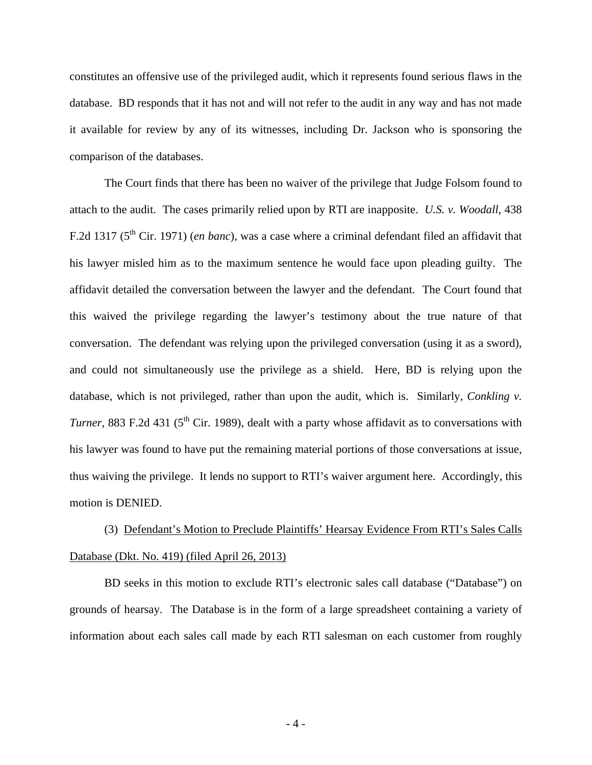constitutes an offensive use of the privileged audit, which it represents found serious flaws in the database. BD responds that it has not and will not refer to the audit in any way and has not made it available for review by any of its witnesses, including Dr. Jackson who is sponsoring the comparison of the databases.

The Court finds that there has been no waiver of the privilege that Judge Folsom found to attach to the audit. The cases primarily relied upon by RTI are inapposite. *U.S. v. Woodall*, 438 F.2d 1317 (5<sup>th</sup> Cir. 1971) (*en banc*), was a case where a criminal defendant filed an affidavit that his lawyer misled him as to the maximum sentence he would face upon pleading guilty. The affidavit detailed the conversation between the lawyer and the defendant. The Court found that this waived the privilege regarding the lawyer's testimony about the true nature of that conversation. The defendant was relying upon the privileged conversation (using it as a sword), and could not simultaneously use the privilege as a shield. Here, BD is relying upon the database, which is not privileged, rather than upon the audit, which is. Similarly, *Conkling v. Turner*, 883 F.2d 431 (5<sup>th</sup> Cir. 1989), dealt with a party whose affidavit as to conversations with his lawyer was found to have put the remaining material portions of those conversations at issue, thus waiving the privilege. It lends no support to RTI's waiver argument here. Accordingly, this motion is DENIED.

## (3) Defendant's Motion to Preclude Plaintiffs' Hearsay Evidence From RTI's Sales Calls Database (Dkt. No. 419) (filed April 26, 2013)

BD seeks in this motion to exclude RTI's electronic sales call database ("Database") on grounds of hearsay. The Database is in the form of a large spreadsheet containing a variety of information about each sales call made by each RTI salesman on each customer from roughly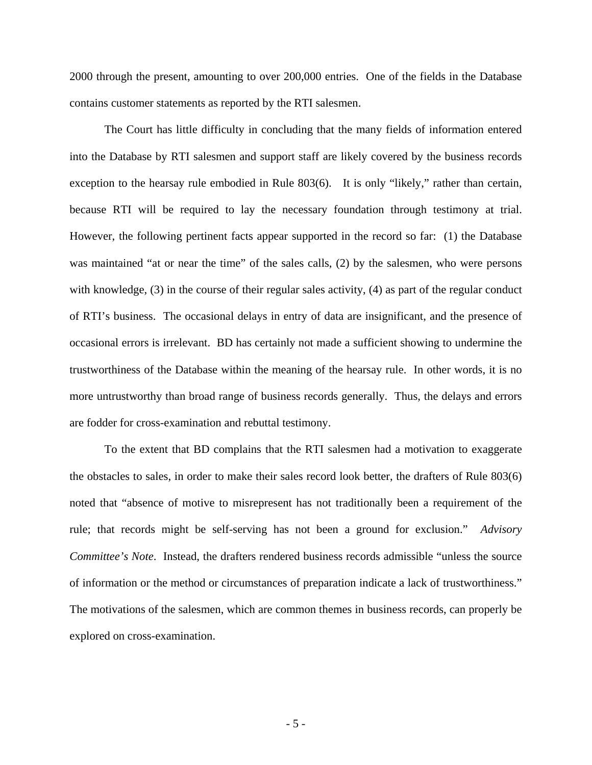2000 through the present, amounting to over 200,000 entries. One of the fields in the Database contains customer statements as reported by the RTI salesmen.

The Court has little difficulty in concluding that the many fields of information entered into the Database by RTI salesmen and support staff are likely covered by the business records exception to the hearsay rule embodied in Rule 803(6). It is only "likely," rather than certain, because RTI will be required to lay the necessary foundation through testimony at trial. However, the following pertinent facts appear supported in the record so far: (1) the Database was maintained "at or near the time" of the sales calls, (2) by the salesmen, who were persons with knowledge, (3) in the course of their regular sales activity, (4) as part of the regular conduct of RTI's business. The occasional delays in entry of data are insignificant, and the presence of occasional errors is irrelevant. BD has certainly not made a sufficient showing to undermine the trustworthiness of the Database within the meaning of the hearsay rule. In other words, it is no more untrustworthy than broad range of business records generally. Thus, the delays and errors are fodder for cross-examination and rebuttal testimony.

To the extent that BD complains that the RTI salesmen had a motivation to exaggerate the obstacles to sales, in order to make their sales record look better, the drafters of Rule 803(6) noted that "absence of motive to misrepresent has not traditionally been a requirement of the rule; that records might be self-serving has not been a ground for exclusion." *Advisory Committee's Note*. Instead, the drafters rendered business records admissible "unless the source of information or the method or circumstances of preparation indicate a lack of trustworthiness." The motivations of the salesmen, which are common themes in business records, can properly be explored on cross-examination.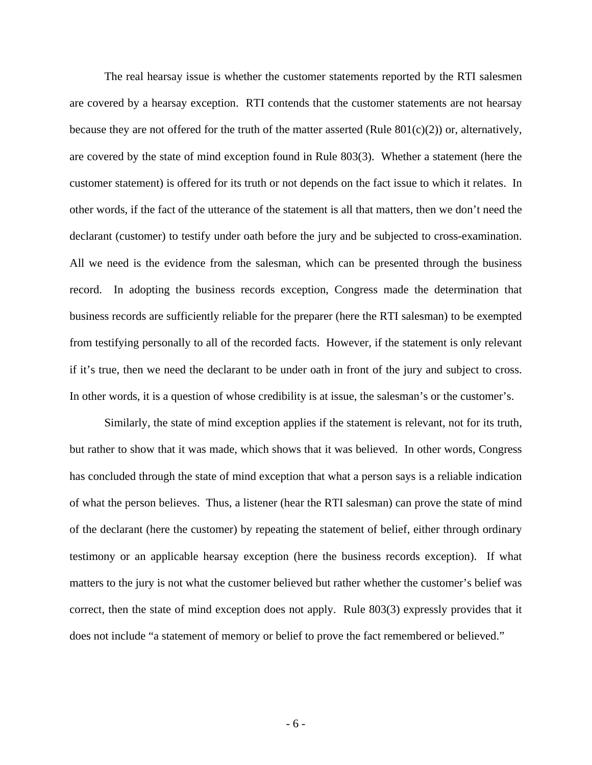The real hearsay issue is whether the customer statements reported by the RTI salesmen are covered by a hearsay exception. RTI contends that the customer statements are not hearsay because they are not offered for the truth of the matter asserted (Rule  $801(c)(2)$ ) or, alternatively, are covered by the state of mind exception found in Rule 803(3). Whether a statement (here the customer statement) is offered for its truth or not depends on the fact issue to which it relates. In other words, if the fact of the utterance of the statement is all that matters, then we don't need the declarant (customer) to testify under oath before the jury and be subjected to cross-examination. All we need is the evidence from the salesman, which can be presented through the business record. In adopting the business records exception, Congress made the determination that business records are sufficiently reliable for the preparer (here the RTI salesman) to be exempted from testifying personally to all of the recorded facts. However, if the statement is only relevant if it's true, then we need the declarant to be under oath in front of the jury and subject to cross. In other words, it is a question of whose credibility is at issue, the salesman's or the customer's.

Similarly, the state of mind exception applies if the statement is relevant, not for its truth, but rather to show that it was made, which shows that it was believed. In other words, Congress has concluded through the state of mind exception that what a person says is a reliable indication of what the person believes. Thus, a listener (hear the RTI salesman) can prove the state of mind of the declarant (here the customer) by repeating the statement of belief, either through ordinary testimony or an applicable hearsay exception (here the business records exception). If what matters to the jury is not what the customer believed but rather whether the customer's belief was correct, then the state of mind exception does not apply. Rule 803(3) expressly provides that it does not include "a statement of memory or belief to prove the fact remembered or believed."